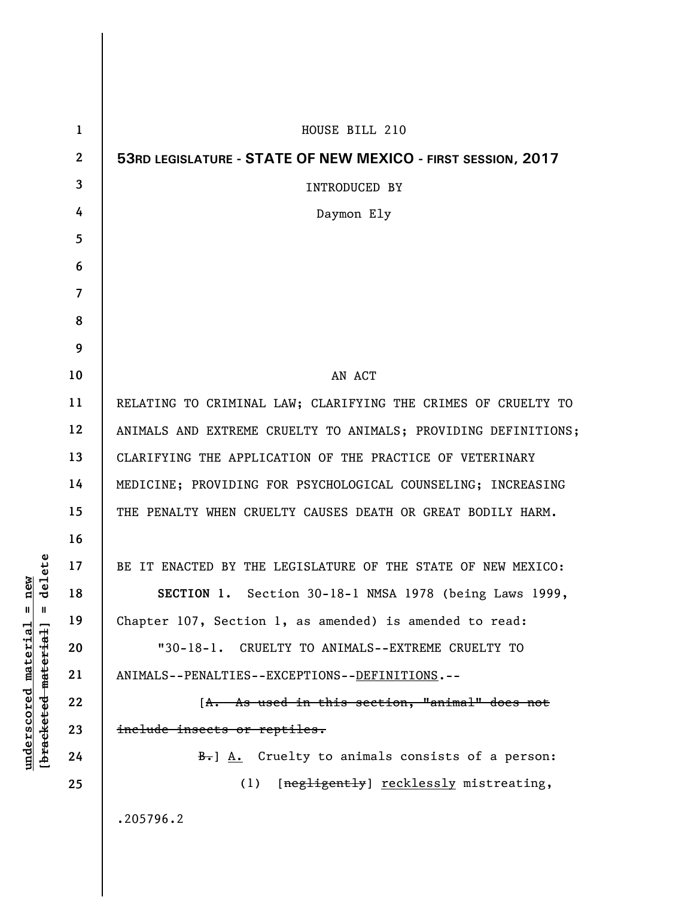| $\mathbf{1}$             | HOUSE BILL 210                                                 |
|--------------------------|----------------------------------------------------------------|
| $\boldsymbol{2}$         | 53RD LEGISLATURE - STATE OF NEW MEXICO - FIRST SESSION, 2017   |
| 3                        | <b>INTRODUCED BY</b>                                           |
| 4                        | Daymon Ely                                                     |
| 5                        |                                                                |
| 6                        |                                                                |
| $\overline{\mathcal{L}}$ |                                                                |
| 8                        |                                                                |
| 9                        |                                                                |
| 10                       | AN ACT                                                         |
| 11                       | RELATING TO CRIMINAL LAW; CLARIFYING THE CRIMES OF CRUELTY TO  |
| 12                       | ANIMALS AND EXTREME CRUELTY TO ANIMALS; PROVIDING DEFINITIONS; |
| 13                       | CLARIFYING THE APPLICATION OF THE PRACTICE OF VETERINARY       |
| 14                       | MEDICINE; PROVIDING FOR PSYCHOLOGICAL COUNSELING; INCREASING   |
| 15                       | THE PENALTY WHEN CRUELTY CAUSES DEATH OR GREAT BODILY HARM.    |
| 16                       |                                                                |
| 17                       | BE IT ENACTED BY THE LEGISLATURE OF THE STATE OF NEW MEXICO:   |
| 18                       | SECTION 1. Section 30-18-1 NMSA 1978 (being Laws 1999,         |
| 19                       | Chapter 107, Section 1, as amended) is amended to read:        |
| 20                       | "30-18-1. CRUELTY TO ANIMALS--EXTREME CRUELTY TO               |
| 21                       | ANIMALS--PENALTIES--EXCEPTIONS--DEFINITIONS.--                 |
| 22                       | [A. As used in this section, "animal" does not                 |
| 23                       | include insects or reptiles.                                   |
| 24                       | B.] A. Cruelty to animals consists of a person:                |
| 25                       | (1) [negligently] recklessly mistreating,                      |
|                          | .205796.2                                                      |
|                          |                                                                |

**underscored material = new [bracketed material] = delete**

 $[**bracket eted metert et**] = **del et e**$  $underscored material = new$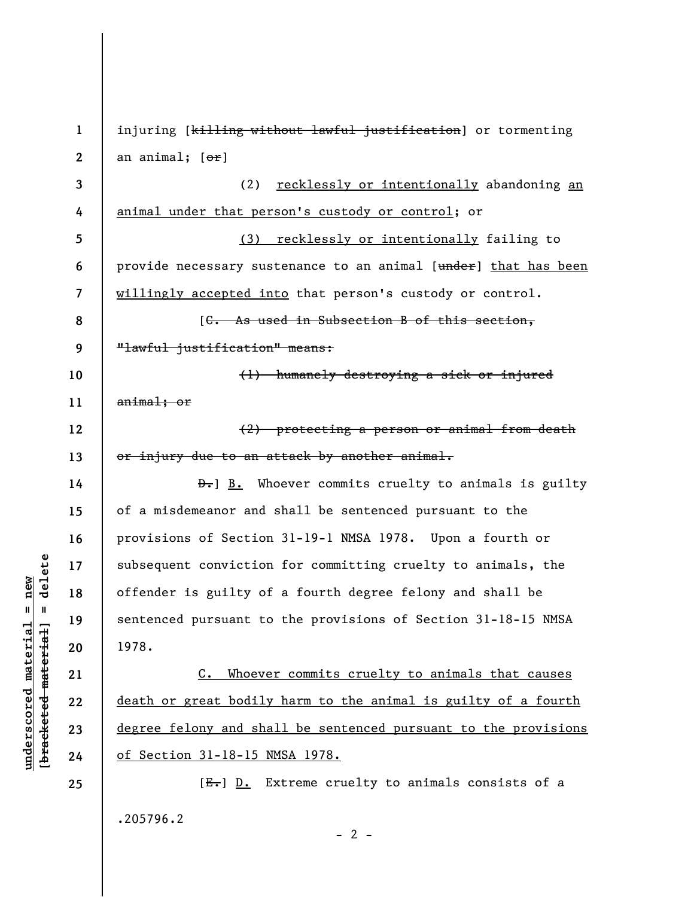**1 2 3 4 5 6 7 8 9 10 11 12 13 14 15 16 17 18 19 20 21 22 23 24 25**  injuring [killing without lawful justification] or tormenting an animal;  $[ $\sigma$ **r**]$ (2) recklessly or intentionally abandoning an animal under that person's custody or control; or (3) recklessly or intentionally failing to provide necessary sustenance to an animal [under] that has been willingly accepted into that person's custody or control. [C. As used in Subsection B of this section, "lawful justification" means: (1) humanely destroying a sick or injured animal; or (2) protecting a person or animal from death or injury due to an attack by another animal. **D.**] **B.** Whoever commits cruelty to animals is guilty of a misdemeanor and shall be sentenced pursuant to the provisions of Section 31-19-1 NMSA 1978. Upon a fourth or subsequent conviction for committing cruelty to animals, the offender is guilty of a fourth degree felony and shall be sentenced pursuant to the provisions of Section 31-18-15 NMSA 1978. C. Whoever commits cruelty to animals that causes death or great bodily harm to the animal is guilty of a fourth degree felony and shall be sentenced pursuant to the provisions of Section 31-18-15 NMSA 1978. [E.] D. Extreme cruelty to animals consists of a

.205796.2

**underscored material = new [bracketed material] = delete**

 $\frac{1}{2}$  intereted material = delete  $underscored material = new$ 

 $- 2 -$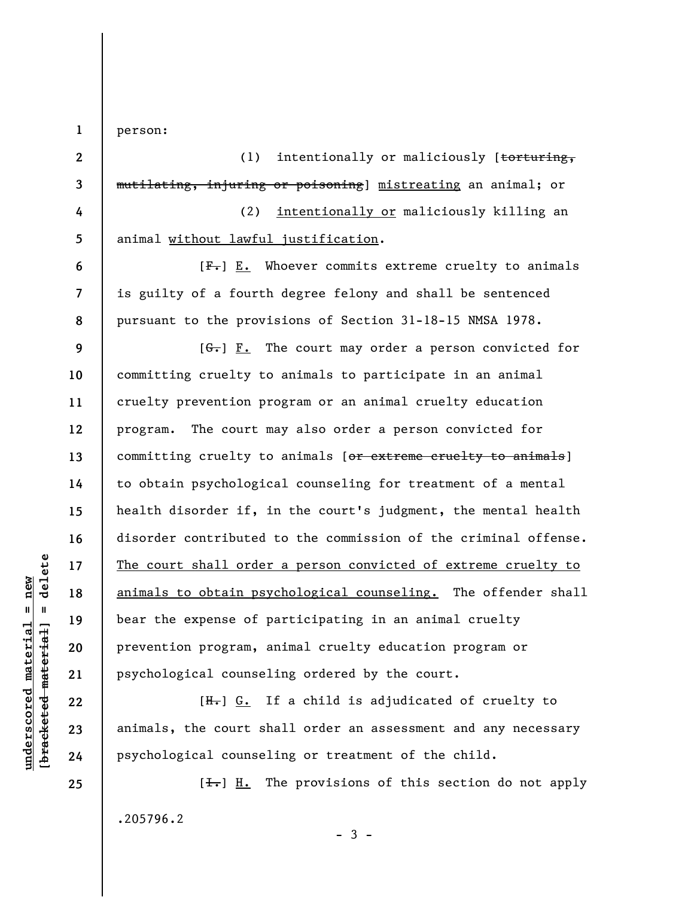person:

**1** 

**2 3 4 5 6 7 8 9 10 11 12 13 14 15 16 17 18 19 20 21**  (1) intentionally or maliciously [torturing, mutilating, injuring or poisoning] mistreating an animal; or (2) intentionally or maliciously killing an animal without lawful justification.  $[F-]$   $E.$  Whoever commits extreme cruelty to animals is guilty of a fourth degree felony and shall be sentenced pursuant to the provisions of Section 31-18-15 NMSA 1978.  $[G<sub>r</sub>]$   $\underline{F.}$  The court may order a person convicted for committing cruelty to animals to participate in an animal cruelty prevention program or an animal cruelty education program. The court may also order a person convicted for committing cruelty to animals [or extreme cruelty to animals] to obtain psychological counseling for treatment of a mental health disorder if, in the court's judgment, the mental health disorder contributed to the commission of the criminal offense. The court shall order a person convicted of extreme cruelty to animals to obtain psychological counseling. The offender shall bear the expense of participating in an animal cruelty prevention program, animal cruelty education program or psychological counseling ordered by the court.

[H.] G. If a child is adjudicated of cruelty to animals, the court shall order an assessment and any necessary psychological counseling or treatment of the child.

 $[\frac{1}{\sqrt{1}}]$  H. The provisions of this section do not apply .205796.2  $-3 -$ 

 $\frac{1}{2}$  bracketed material = delete **[bracketed material] = delete**  $anderscored material = new$ **underscored material = new**

**25** 

**22** 

**23** 

**24**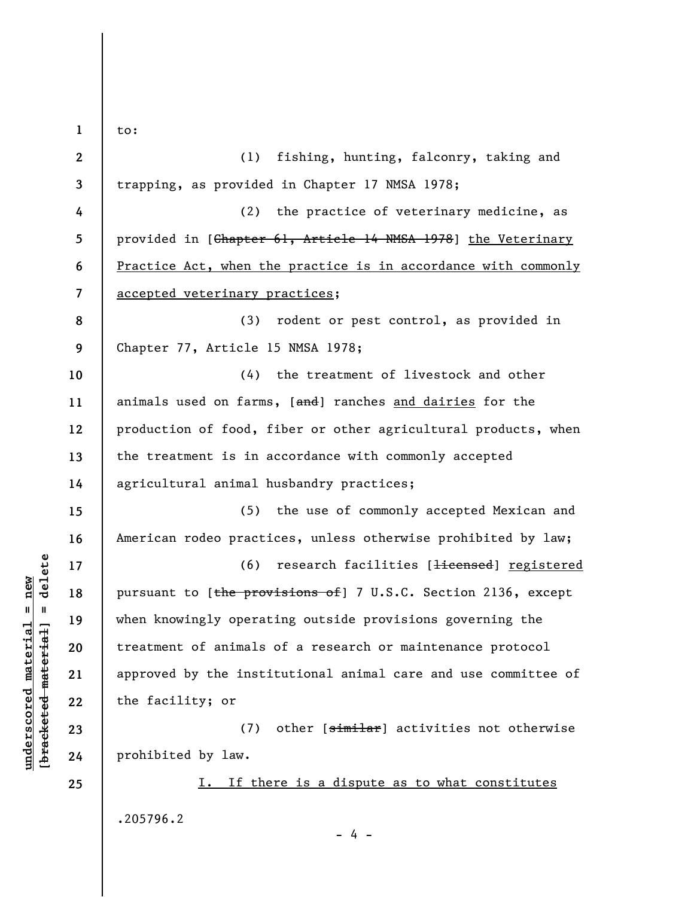**1 2 3 4 5 6 7 8 9 10 11 12 13 14 15 16 17 18 19 20 21 22 23 24 25**  to: (1) fishing, hunting, falconry, taking and trapping, as provided in Chapter 17 NMSA 1978; (2) the practice of veterinary medicine, as provided in [Chapter 61, Article 14 NMSA 1978] the Veterinary Practice Act, when the practice is in accordance with commonly accepted veterinary practices; (3) rodent or pest control, as provided in Chapter 77, Article 15 NMSA 1978; (4) the treatment of livestock and other animals used on farms, [and] ranches and dairies for the production of food, fiber or other agricultural products, when the treatment is in accordance with commonly accepted agricultural animal husbandry practices; (5) the use of commonly accepted Mexican and American rodeo practices, unless otherwise prohibited by law; (6) research facilities [Hicensed] registered pursuant to [the provisions of] 7 U.S.C. Section 2136, except when knowingly operating outside provisions governing the treatment of animals of a research or maintenance protocol approved by the institutional animal care and use committee of the facility; or (7) other [similar] activities not otherwise prohibited by law. I. If there is a dispute as to what constitutes .205796.2

 $\frac{1}{2}$  bracketed material = delete **[bracketed material] = delete**  $underscored material = new$ **underscored material = new**

- 4 -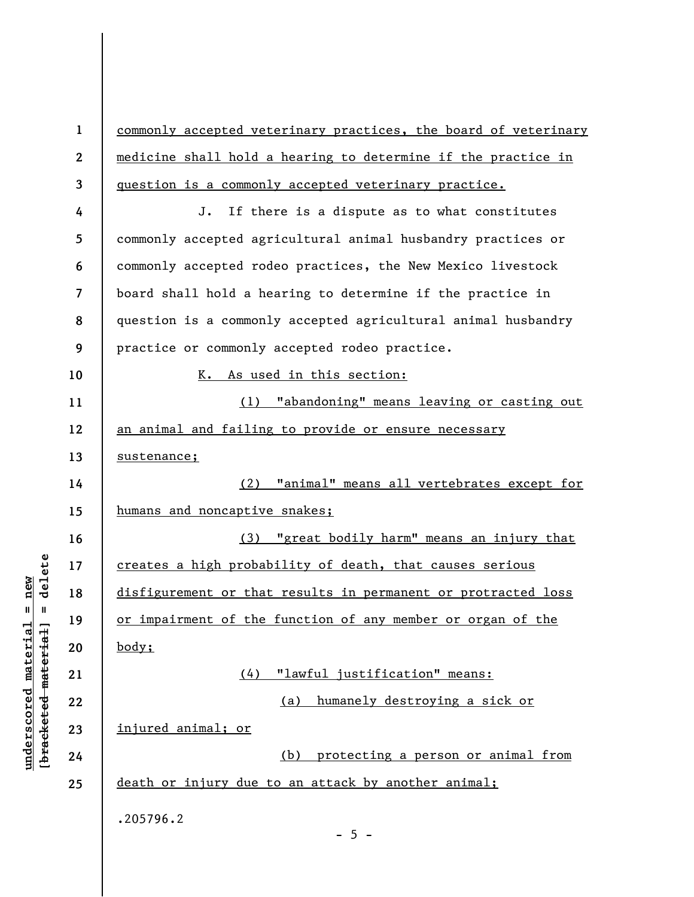**1 2 3 4 5 6 7 8 9 10 11 12 13 14 15 16 17 18 19 20 21 22 23 24 25**  commonly accepted veterinary practices, the board of veterinary medicine shall hold a hearing to determine if the practice in question is a commonly accepted veterinary practice. J. If there is a dispute as to what constitutes commonly accepted agricultural animal husbandry practices or commonly accepted rodeo practices, the New Mexico livestock board shall hold a hearing to determine if the practice in question is a commonly accepted agricultural animal husbandry practice or commonly accepted rodeo practice. K. As used in this section: (1) "abandoning" means leaving or casting out an animal and failing to provide or ensure necessary sustenance; (2) "animal" means all vertebrates except for humans and noncaptive snakes; (3) "great bodily harm" means an injury that creates a high probability of death, that causes serious disfigurement or that results in permanent or protracted loss or impairment of the function of any member or organ of the body; (4) "lawful justification" means: (a) humanely destroying a sick or injured animal; or (b) protecting a person or animal from death or injury due to an attack by another animal; .205796.2  $- 5 -$ 

**underscored material = new [bracketed material] = delete**

 $b$ racketed material] = delete  $underscored material = new$